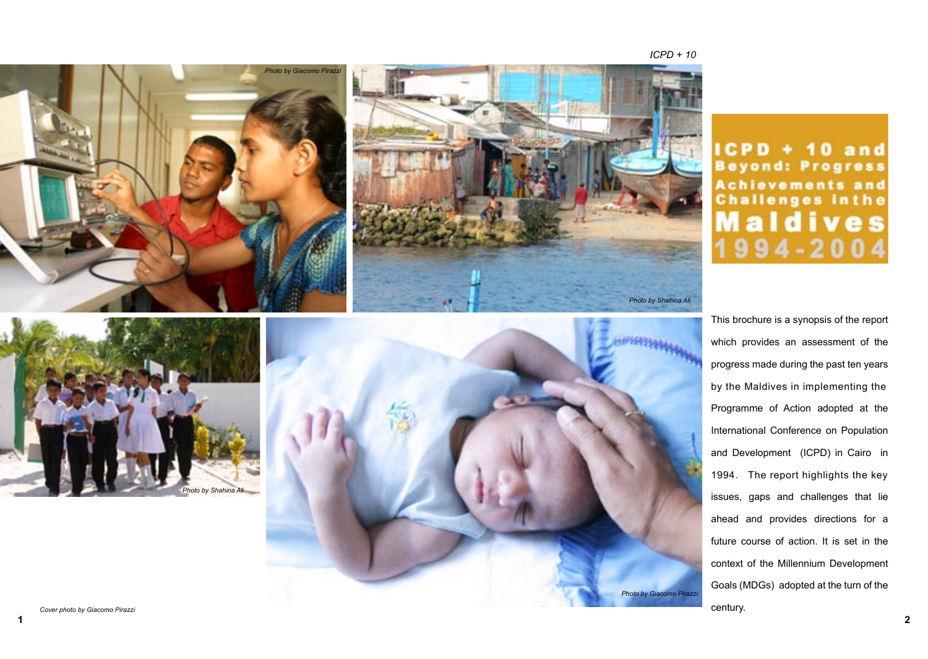

CPD + 10 and **Beyond: Progress Achievements and Challenges inthe** ives п

This brochure is a synopsis of the report which provides an assessment of the progress made during the past ten years by the Maldives in implementing the Programme of Action adopted at the International Conference on Population and Development (ICPD) in Cairo in 1994. The report highlights the key issues, gaps and challenges that lie ahead and provides directions for a future course of action. It is set in the context of the Millennium Development Goals (MDGs) adopted at the turn of the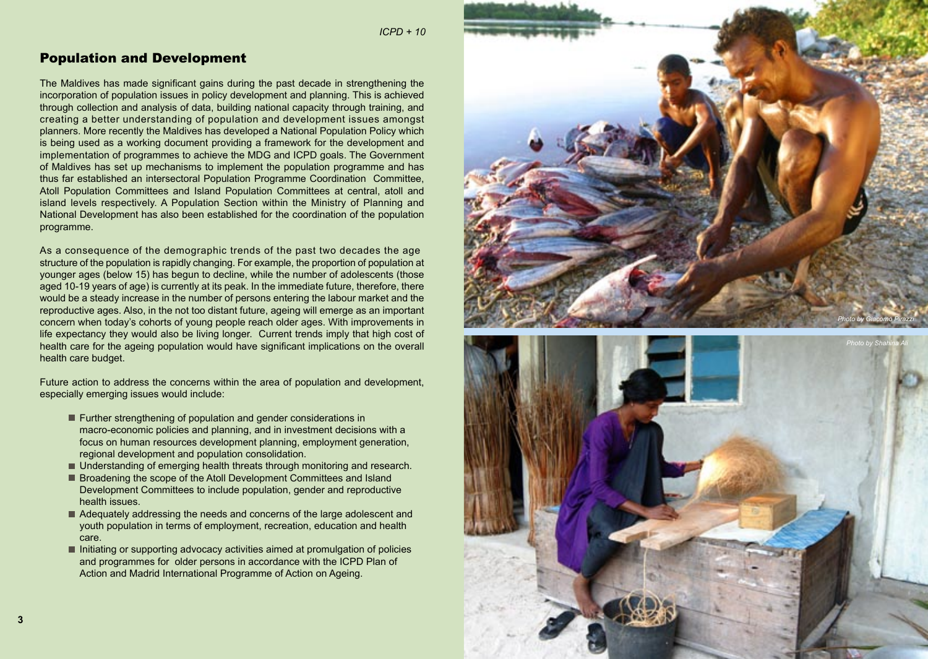*International Conference on Population and Development ICPD + 10*

## Population and Development

The Maldives has made significant gains during the past decade in strengthening the incorporation of population issues in policy development and planning. This is achieved through collection and analysis of data, building national capacity through training, and creating a better understanding of population and development issues amongs t planners . More recently the Maldives has developed a National Population Policy which is being used as a working document providing a framework for the development and implementation of programmes to achieve the MDG and ICPD goals. The Government of Maldives has set up mechanisms to implement the population programme and has thus far established an intersectoral Population Programme Coordination Committee, Atoll Population Committees and Island Population Committees at central, atoll and island levels respectively. A Population Section within the Ministry of Planning and National Development has also been established for the coordination of the population programme.

As a consequence of the demographic trends of the past two decades the age structure of the population is rapidly changing. For example, the proportion of population at younger ages (below 15) has begun to decline, while the number of adolescents (those aged 10-19 years of age) is currently at its peak. In the immediate future, therefore, there would be a steady increase in the number of persons entering the labour market and the reproductive ages. Also, in the not too distant future, ageing will emerge as an important concern when today's cohorts of young people reach older ages. With improvements in life expectancy they would also be living longer. Current trends imply that high cost of health care for the ageing population would have significant implications on the overall health care budget.

Future action to address the concerns within the area of population and development, especially emerging issues would include:

- Further strengthening of population and gender considerations in macro-economic policies and planning, and in investment decisions with a focus on human resources development planning, employment generation, regional development and population consolidation.
- Understanding of emerging health threats through monitoring and research.
- **Broadening the scope of the Atoll Development Committees and Island**  Development Committees to include population, gender and reproductive health issues.
- Adequately addressing the needs and concerns of the large adolescent and youth population in terms of employment, recreation, education and health care.
- $\blacksquare$  Initiating or supporting advocacy activities aimed at promulgation of policies and programmes for older persons in accordance with the ICPD Plan of Action and Madrid International Programme of Action on Ageing.



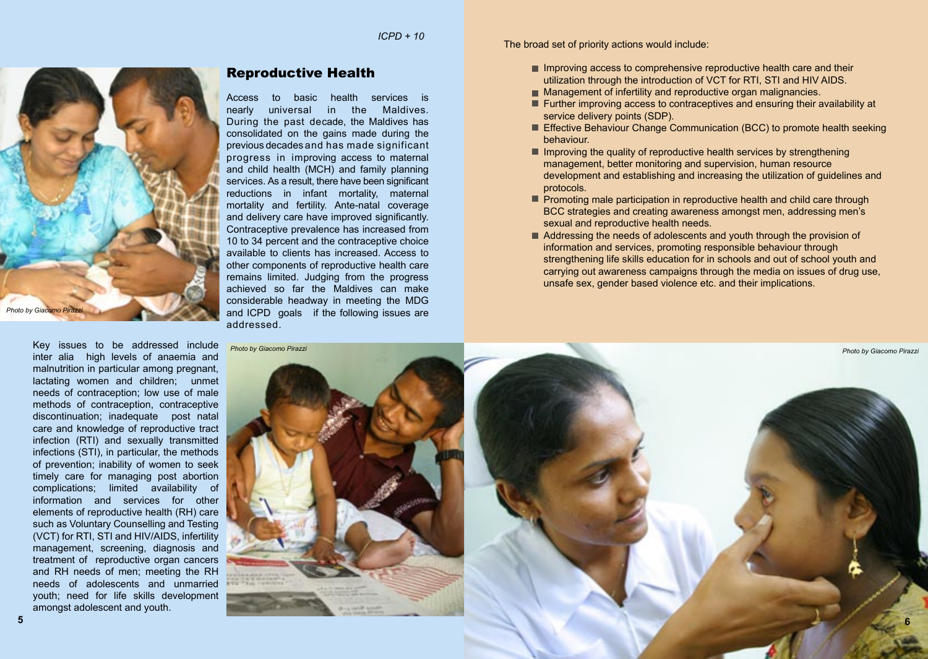

Key issues to be addressed include inter alia high levels of anaemia and malnutrition in particular among pregnant, lactating women and children; unmet needs of contraception; low use of male methods of contraception, contraceptive discontinuation; inadequate post natal care and knowledge of reproductive tract infection (RTI) and sexually transmitted infections (STI), in particular, the methods of prevention; inability of women to seek timely care for managing post abortion complications; limited availability of information and services for other elements of reproductive health (RH) care such as Voluntary Counselling and Testing (VCT) for RTI, STI and HIV/AIDS, infertility management, screening, diagnosis and treatment of reproductive organ cancers and RH needs of men; meeting the RH needs of adolescents and unmarried youth; need for life skills development amongst adolescent and youth.

## Reproductive Health

Access to basic health services is nearly universal in the Maldives. During the past decade, the Maldives has consolidated on the gains made during the previous decades and has made significant progress in improving access to maternal and child health (MCH) and family planning services. As a result, there have been significant reductions in infant mortality, maternal mortality and fertility. Ante-natal coverage and delivery care have improved significantly. Contraceptive prevalence has increased from 10 to 34 percent and the contraceptive choice available to clients has increased. Access to other components of reproductive health care remains limited. Judging from the progress achieved so far the Maldives can make considerable headway in meeting the MDG and ICPD goals if the following issues are addressed.

The broad set of priority actions would include:

- $\blacksquare$  Improving access to comprehensive reproductive health care and their utilization through the introduction of VCT for RTI, STI and HIV AIDS.
- Management of infertility and reproductive organ malignancies.
- **Further improving access to contraceptives and ensuring their availability at** service delivery points (SDP).
- Effective Behaviour Change Communication (BCC) to promote health seeking behaviour.
- $\blacksquare$  Improving the quality of reproductive health services by strengthening management, better monitoring and supervision, human resource development and establishing and increasing the utilization of guidelines and protocols.
- **Promoting male participation in reproductive health and child care through**  BCC strategies and creating awareness amongst men, addressing men's sexual and reproductive health needs.
- Addressing the needs of adolescents and youth through the provision of information and services, promoting responsible behaviour through strengthening life skills education for in schools and out of school youth and carrying out awareness campaigns through the media on issues of drug use, unsafe sex, gender based violence etc. and their implications.

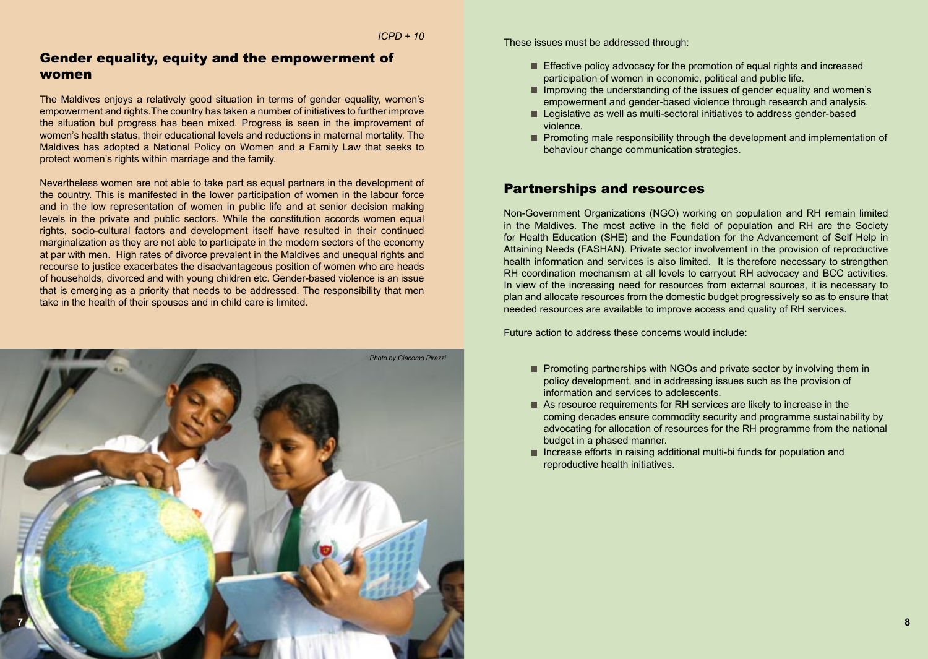## Gender equality, equity and the empowerment of women

The Maldives enjoys a relatively good situation in terms of gender equality, women's empowerment and rights.The country has taken a number of initiatives to further improve the situation but progress has been mixed. Progress is seen in the improvement of women's health status, their educational levels and reductions in maternal mortality. The Maldives has adopted a National Policy on Women and a Family Law that seeks to protect women's rights within marriage and the family.

Nevertheless women are not able to take part as equal partners in the development of the country. This is manifested in the lower participation of women in the labour force and in the low representation of women in public life and at senior decision making levels in the private and public sectors. While the constitution accords women equal rights, socio-cultural factors and development itself have resulted in their continued marginalization as they are not able to participate in the modern sectors of the economy at par with men. High rates of divorce prevalent in the Maldives and unequal rights and recourse to justice exacerbates the disadvantageous position of women who are heads of households, divorced and with young children etc. Gender-based violence is an issue that is emerging as a priority that needs to be addressed. The responsibility that men take in the health of their spouses and in child care is limited.



These issues must be addressed through:

- Effective policy advocacy for the promotion of equal rights and increased participation of women in economic, political and public life.
- Improving the understanding of the issues of gender equality and women's empowerment and gender-based violence through research and analysis.
- Legislative as well as multi-sectoral initiatives to address gender-based violence.
- **Promoting male responsibility through the development and implementation of** behaviour change communication strategies.

## Partnerships and resources

Non-Government Organizations (NGO) working on population and RH remain limited in the Maldives. The most active in the field of population and RH are the Society for Health Education (SHE) and the Foundation for the Advancement of Self Help in Attaining Needs (FASHAN). Private sector involvement in the provision of reproductive health information and services is also limited. It is therefore necessary to strengthen RH coordination mechanism at all levels to carryout RH advocacy and BCC activities. In view of the increasing need for resources from external sources, it is necessary to plan and allocate resources from the domestic budget progressively so as to ensure that needed resources are available to improve access and quality of RH services.

Future action to address these concerns would include:

- **Promoting partnerships with NGOs and private sector by involving them in**  policy development, and in addressing issues such as the provision of information and services to adolescents.
- As resource requirements for RH services are likely to increase in the coming decades ensure commodity security and programme sustainability by advocating for allocation of resources for the RH programme from the national budget in a phased manner.
- Increase efforts in raising additional multi-bi funds for population and reproductive health initiatives.